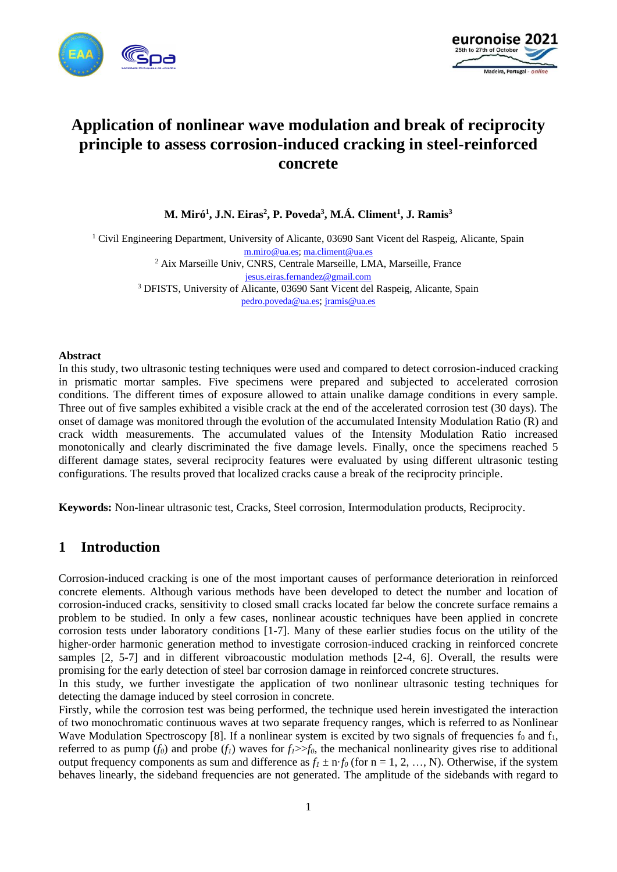



# **Application of nonlinear wave modulation and break of reciprocity principle to assess corrosion-induced cracking in steel-reinforced concrete**

**M. Miró<sup>1</sup> , J.N. Eiras<sup>2</sup> , P. Poveda<sup>3</sup> , M.Á. Climent<sup>1</sup> , J. Ramis<sup>3</sup>**

<sup>1</sup> Civil Engineering Department, University of Alicante, 03690 Sant Vicent del Raspeig, Alicante, Spain [m.miro@ua.es;](mailto:m.miro@ua.es) [ma.climent@ua.es](mailto:ma.climent@ua.es) <sup>2</sup> Aix Marseille Univ, CNRS, Centrale Marseille, LMA, Marseille, France [jesus.eiras.fernandez@gmail.com](mailto:jesus.eiras.fernandez@gmail.com) <sup>3</sup> DFISTS, University of Alicante, 03690 Sant Vicent del Raspeig, Alicante, Spain [pedro.poveda@ua.es](mailto:pedro.poveda@ua.es); [jramis@ua.es](mailto:jramis@ua.es)

#### **Abstract**

In this study, two ultrasonic testing techniques were used and compared to detect corrosion-induced cracking in prismatic mortar samples. Five specimens were prepared and subjected to accelerated corrosion conditions. The different times of exposure allowed to attain unalike damage conditions in every sample. Three out of five samples exhibited a visible crack at the end of the accelerated corrosion test (30 days). The onset of damage was monitored through the evolution of the accumulated Intensity Modulation Ratio (R) and crack width measurements. The accumulated values of the Intensity Modulation Ratio increased monotonically and clearly discriminated the five damage levels. Finally, once the specimens reached 5 different damage states, several reciprocity features were evaluated by using different ultrasonic testing configurations. The results proved that localized cracks cause a break of the reciprocity principle.

**Keywords:** Non-linear ultrasonic test, Cracks, Steel corrosion, Intermodulation products, Reciprocity.

## **1 Introduction**

Corrosion-induced cracking is one of the most important causes of performance deterioration in reinforced concrete elements. Although various methods have been developed to detect the number and location of corrosion-induced cracks, sensitivity to closed small cracks located far below the concrete surface remains a problem to be studied. In only a few cases, nonlinear acoustic techniques have been applied in concrete corrosion tests under laboratory conditions [1-7]. Many of these earlier studies focus on the utility of the higher-order harmonic generation method to investigate corrosion-induced cracking in reinforced concrete samples [2, 5-7] and in different vibroacoustic modulation methods [2-4, 6]. Overall, the results were promising for the early detection of steel bar corrosion damage in reinforced concrete structures.

In this study, we further investigate the application of two nonlinear ultrasonic testing techniques for detecting the damage induced by steel corrosion in concrete.

Firstly, while the corrosion test was being performed, the technique used herein investigated the interaction of two monochromatic continuous waves at two separate frequency ranges, which is referred to as Nonlinear Wave Modulation Spectroscopy [8]. If a nonlinear system is excited by two signals of frequencies  $f_0$  and  $f_1$ , referred to as pump  $(f_0)$  and probe  $(f_1)$  waves for  $f_1 \gg f_0$ , the mechanical nonlinearity gives rise to additional output frequency components as sum and difference as  $f_1 \pm n \cdot f_0$  (for  $n = 1, 2, ..., N$ ). Otherwise, if the system behaves linearly, the sideband frequencies are not generated. The amplitude of the sidebands with regard to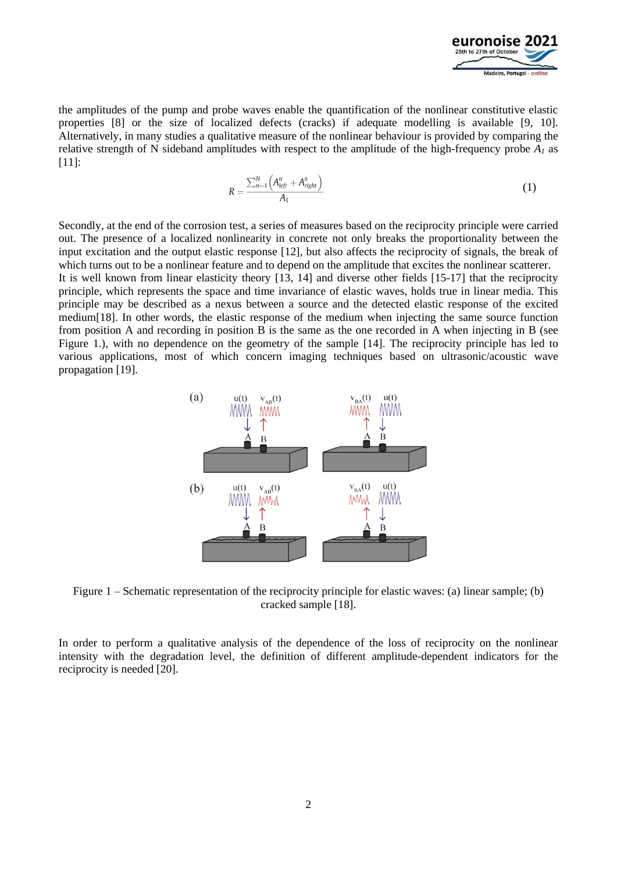

the amplitudes of the pump and probe waves enable the quantification of the nonlinear constitutive elastic properties [8] or the size of localized defects (cracks) if adequate modelling is available [9, 10]. Alternatively, in many studies a qualitative measure of the nonlinear behaviour is provided by comparing the relative strength of N sideband amplitudes with respect to the amplitude of the high-frequency probe *A<sup>1</sup>* as [11]:

$$
R = \frac{\sum_{n=1}^{N} \left( A_{left}^{n} + A_{right}^{n} \right)}{A_1} \tag{1}
$$

Secondly, at the end of the corrosion test, a series of measures based on the reciprocity principle were carried out. The presence of a localized nonlinearity in concrete not only breaks the proportionality between the input excitation and the output elastic response [12], but also affects the reciprocity of signals, the break of which turns out to be a nonlinear feature and to depend on the amplitude that excites the nonlinear scatterer.

It is well known from linear elasticity theory [13, 14] and diverse other fields [15-17] that the reciprocity principle, which represents the space and time invariance of elastic waves, holds true in linear media. This principle may be described as a nexus between a source and the detected elastic response of the excited medium[18]. In other words, the elastic response of the medium when injecting the same source function from position A and recording in position B is the same as the one recorded in A when injecting in B (see Figure 1.), with no dependence on the geometry of the sample [14]. The reciprocity principle has led to various applications, most of which concern imaging techniques based on ultrasonic/acoustic wave propagation [19].



Figure 1 – Schematic representation of the reciprocity principle for elastic waves: (a) linear sample; (b) cracked sample [18].

In order to perform a qualitative analysis of the dependence of the loss of reciprocity on the nonlinear intensity with the degradation level, the definition of different amplitude-dependent indicators for the reciprocity is needed [20].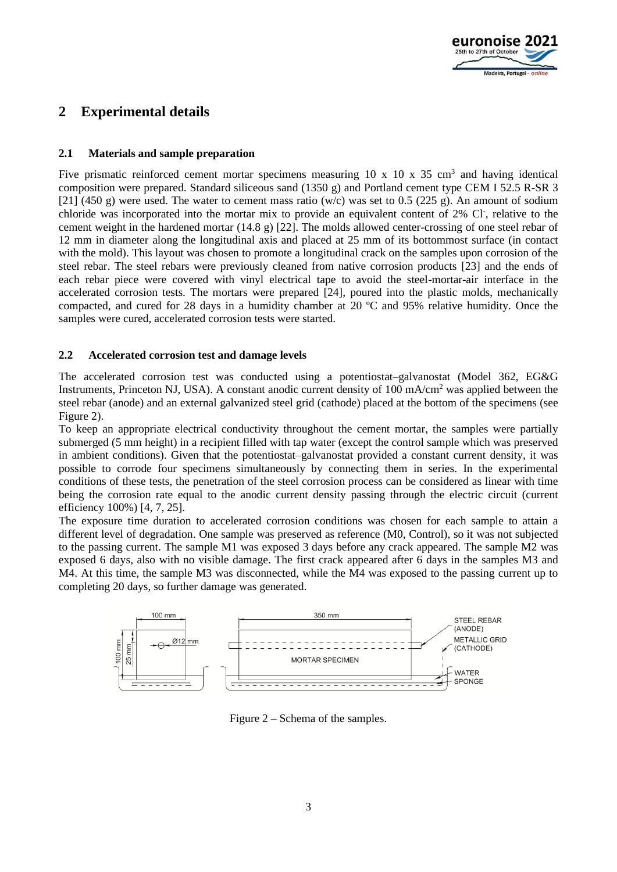

## **2 Experimental details**

### **2.1 Materials and sample preparation**

Five prismatic reinforced cement mortar specimens measuring  $10 \times 10 \times 35$  cm<sup>3</sup> and having identical composition were prepared. Standard siliceous sand (1350 g) and Portland cement type CEM I 52.5 R-SR 3 [21] (450 g) were used. The water to cement mass ratio (w/c) was set to 0.5 (225 g). An amount of sodium chloride was incorporated into the mortar mix to provide an equivalent content of 2% Cl<sup>-</sup>, relative to the cement weight in the hardened mortar (14.8 g) [22]. The molds allowed center-crossing of one steel rebar of 12 mm in diameter along the longitudinal axis and placed at 25 mm of its bottommost surface (in contact with the mold). This layout was chosen to promote a longitudinal crack on the samples upon corrosion of the steel rebar. The steel rebars were previously cleaned from native corrosion products [23] and the ends of each rebar piece were covered with vinyl electrical tape to avoid the steel-mortar-air interface in the accelerated corrosion tests. The mortars were prepared [24], poured into the plastic molds, mechanically compacted, and cured for 28 days in a humidity chamber at 20 ºC and 95% relative humidity. Once the samples were cured, accelerated corrosion tests were started.

### **2.2 Accelerated corrosion test and damage levels**

The accelerated corrosion test was conducted using a potentiostat–galvanostat (Model 362, EG&G Instruments, Princeton NJ, USA). A constant anodic current density of 100 mA/cm<sup>2</sup> was applied between the steel rebar (anode) and an external galvanized steel grid (cathode) placed at the bottom of the specimens (see Figure 2).

To keep an appropriate electrical conductivity throughout the cement mortar, the samples were partially submerged (5 mm height) in a recipient filled with tap water (except the control sample which was preserved in ambient conditions). Given that the potentiostat–galvanostat provided a constant current density, it was possible to corrode four specimens simultaneously by connecting them in series. In the experimental conditions of these tests, the penetration of the steel corrosion process can be considered as linear with time being the corrosion rate equal to the anodic current density passing through the electric circuit (current efficiency 100%) [4, 7, 25].

The exposure time duration to accelerated corrosion conditions was chosen for each sample to attain a different level of degradation. One sample was preserved as reference (M0, Control), so it was not subjected to the passing current. The sample M1 was exposed 3 days before any crack appeared. The sample M2 was exposed 6 days, also with no visible damage. The first crack appeared after 6 days in the samples M3 and M4. At this time, the sample M3 was disconnected, while the M4 was exposed to the passing current up to completing 20 days, so further damage was generated.



Figure 2 – Schema of the samples.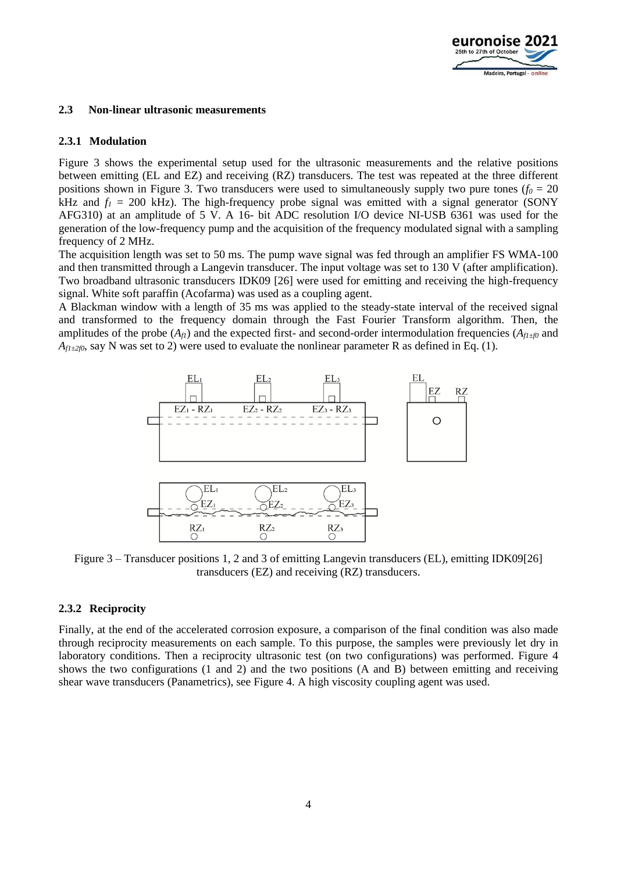

#### **2.3 Non-linear ultrasonic measurements**

#### **2.3.1 Modulation**

Figure 3 shows the experimental setup used for the ultrasonic measurements and the relative positions between emitting (EL and EZ) and receiving (RZ) transducers. The test was repeated at the three different positions shown in Figure 3. Two transducers were used to simultaneously supply two pure tones ( $f_0 = 20$ ) kHz and  $f_1 = 200$  kHz). The high-frequency probe signal was emitted with a signal generator (SONY AFG310) at an amplitude of 5 V. A 16- bit ADC resolution I/O device NI-USB 6361 was used for the generation of the low-frequency pump and the acquisition of the frequency modulated signal with a sampling frequency of 2 MHz.

The acquisition length was set to 50 ms. The pump wave signal was fed through an amplifier FS WMA-100 and then transmitted through a Langevin transducer. The input voltage was set to 130 V (after amplification). Two broadband ultrasonic transducers IDK09 [26] were used for emitting and receiving the high-frequency signal. White soft paraffin (Acofarma) was used as a coupling agent.

A Blackman window with a length of 35 ms was applied to the steady-state interval of the received signal and transformed to the frequency domain through the Fast Fourier Transform algorithm. Then, the amplitudes of the probe  $(A_f)$  and the expected first- and second-order intermodulation frequencies  $(A_{f1\pm f0}$  and  $A_{f1\pm2f0}$ , say N was set to 2) were used to evaluate the nonlinear parameter R as defined in Eq. (1).



Figure 3 – Transducer positions 1, 2 and 3 of emitting Langevin transducers (EL), emitting IDK09[26] transducers (EZ) and receiving (RZ) transducers.

#### **2.3.2 Reciprocity**

Finally, at the end of the accelerated corrosion exposure, a comparison of the final condition was also made through reciprocity measurements on each sample. To this purpose, the samples were previously let dry in laboratory conditions. Then a reciprocity ultrasonic test (on two configurations) was performed. Figure 4 shows the two configurations (1 and 2) and the two positions (A and B) between emitting and receiving shear wave transducers (Panametrics), see Figure 4. A high viscosity coupling agent was used.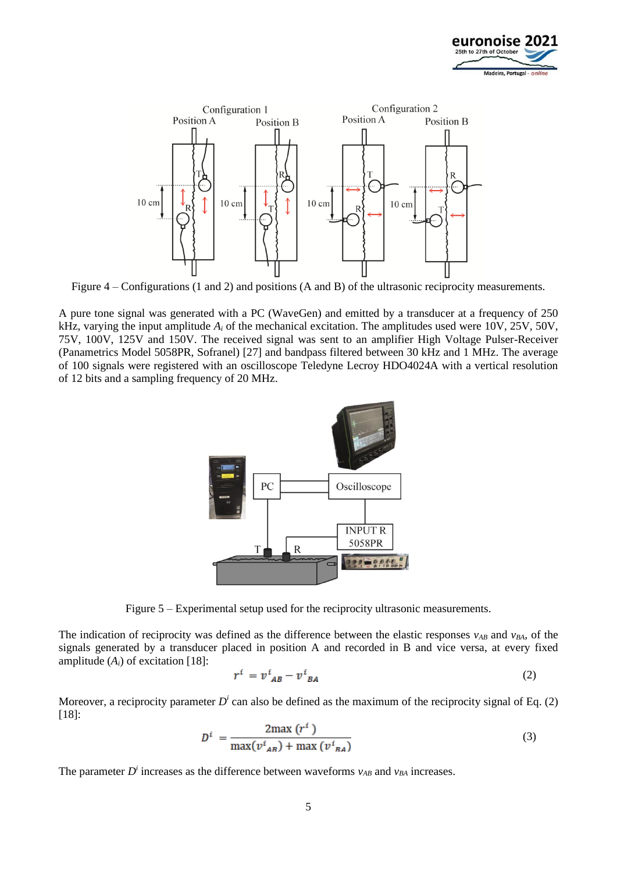



Figure 4 – Configurations (1 and 2) and positions (A and B) of the ultrasonic reciprocity measurements.

A pure tone signal was generated with a PC (WaveGen) and emitted by a transducer at a frequency of 250 kHz, varying the input amplitude *A<sup>i</sup>* of the mechanical excitation. The amplitudes used were 10V, 25V, 50V, 75V, 100V, 125V and 150V. The received signal was sent to an amplifier High Voltage Pulser-Receiver (Panametrics Model 5058PR, Sofranel) [27] and bandpass filtered between 30 kHz and 1 MHz. The average of 100 signals were registered with an oscilloscope Teledyne Lecroy HDO4024A with a vertical resolution of 12 bits and a sampling frequency of 20 MHz.



Figure 5 – Experimental setup used for the reciprocity ultrasonic measurements.

The indication of reciprocity was defined as the difference between the elastic responses  $v_{AB}$  and  $v_{BA}$ , of the signals generated by a transducer placed in position A and recorded in B and vice versa, at every fixed amplitude  $(A_i)$  of excitation [18]:

$$
r^i = v^i_{AB} - v^i_{BA} \tag{2}
$$

Moreover, a reciprocity parameter  $D^i$  can also be defined as the maximum of the reciprocity signal of Eq. (2) [18]:

$$
D^{i} = \frac{2\max(r^{i})}{\max(v^{i}_{AB}) + \max(v^{i}_{BA})}
$$
(3)

The parameter  $D^i$  increases as the difference between waveforms  $v_{AB}$  and  $v_{BA}$  increases.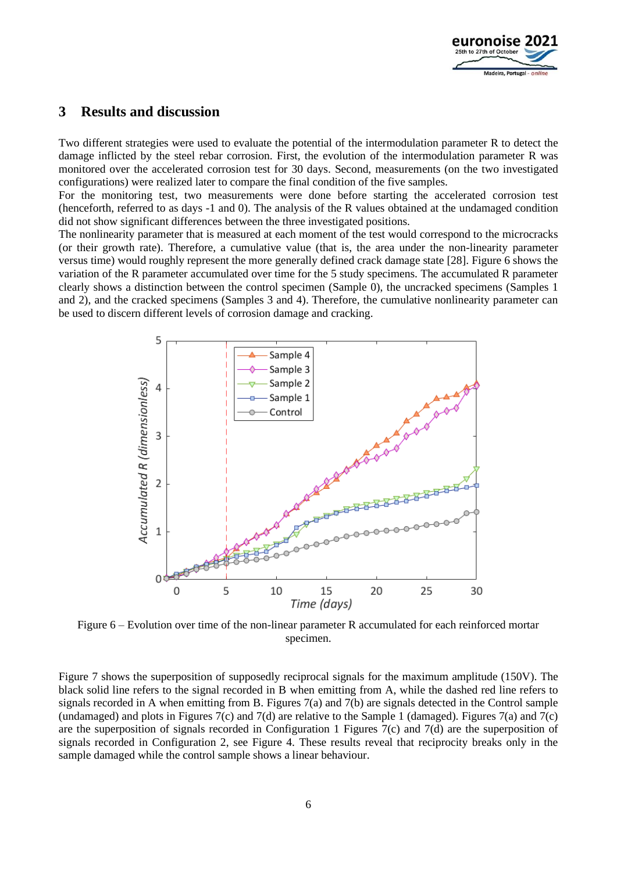

## **3 Results and discussion**

Two different strategies were used to evaluate the potential of the intermodulation parameter R to detect the damage inflicted by the steel rebar corrosion. First, the evolution of the intermodulation parameter R was monitored over the accelerated corrosion test for 30 days. Second, measurements (on the two investigated configurations) were realized later to compare the final condition of the five samples.

For the monitoring test, two measurements were done before starting the accelerated corrosion test (henceforth, referred to as days -1 and 0). The analysis of the R values obtained at the undamaged condition did not show significant differences between the three investigated positions.

The nonlinearity parameter that is measured at each moment of the test would correspond to the microcracks (or their growth rate). Therefore, a cumulative value (that is, the area under the non-linearity parameter versus time) would roughly represent the more generally defined crack damage state [28]. Figure 6 shows the variation of the R parameter accumulated over time for the 5 study specimens. The accumulated R parameter clearly shows a distinction between the control specimen (Sample 0), the uncracked specimens (Samples 1 and 2), and the cracked specimens (Samples 3 and 4). Therefore, the cumulative nonlinearity parameter can be used to discern different levels of corrosion damage and cracking.



Figure 6 – Evolution over time of the non-linear parameter R accumulated for each reinforced mortar specimen.

Figure 7 shows the superposition of supposedly reciprocal signals for the maximum amplitude (150V). The black solid line refers to the signal recorded in B when emitting from A, while the dashed red line refers to signals recorded in A when emitting from B. Figures 7(a) and 7(b) are signals detected in the Control sample (undamaged) and plots in Figures 7(c) and 7(d) are relative to the Sample 1 (damaged). Figures 7(a) and 7(c) are the superposition of signals recorded in Configuration 1 Figures 7(c) and 7(d) are the superposition of signals recorded in Configuration 2, see Figure 4. These results reveal that reciprocity breaks only in the sample damaged while the control sample shows a linear behaviour.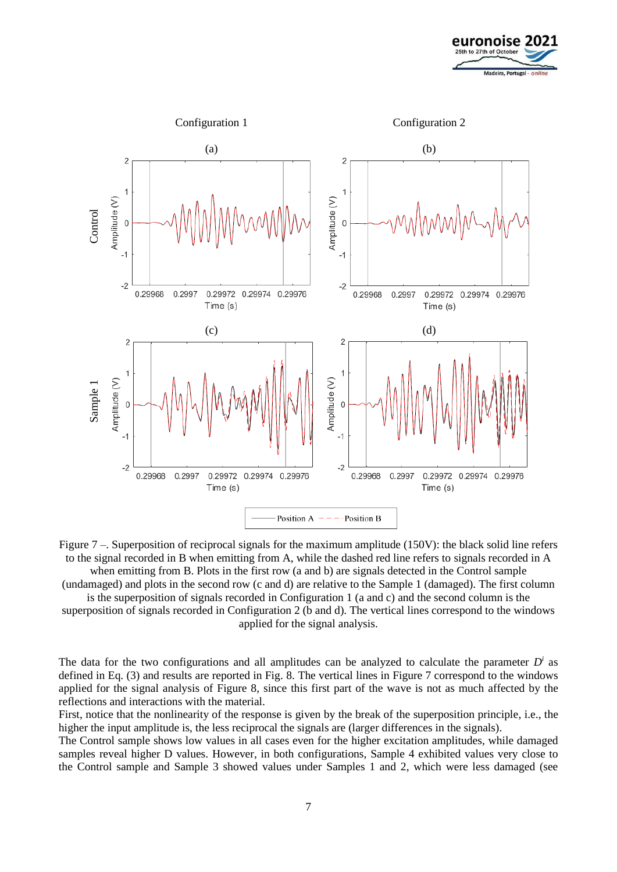



Figure 7 –. Superposition of reciprocal signals for the maximum amplitude (150V): the black solid line refers to the signal recorded in B when emitting from A, while the dashed red line refers to signals recorded in A when emitting from B. Plots in the first row (a and b) are signals detected in the Control sample (undamaged) and plots in the second row (c and d) are relative to the Sample 1 (damaged). The first column

is the superposition of signals recorded in Configuration 1 (a and c) and the second column is the superposition of signals recorded in Configuration 2 (b and d). The vertical lines correspond to the windows

applied for the signal analysis.

The data for the two configurations and all amplitudes can be analyzed to calculate the parameter  $D<sup>i</sup>$  as defined in Eq. (3) and results are reported in Fig. 8. The vertical lines in Figure 7 correspond to the windows applied for the signal analysis of Figure 8, since this first part of the wave is not as much affected by the reflections and interactions with the material.

First, notice that the nonlinearity of the response is given by the break of the superposition principle, i.e., the higher the input amplitude is, the less reciprocal the signals are (larger differences in the signals).

The Control sample shows low values in all cases even for the higher excitation amplitudes, while damaged samples reveal higher D values. However, in both configurations, Sample 4 exhibited values very close to the Control sample and Sample 3 showed values under Samples 1 and 2, which were less damaged (see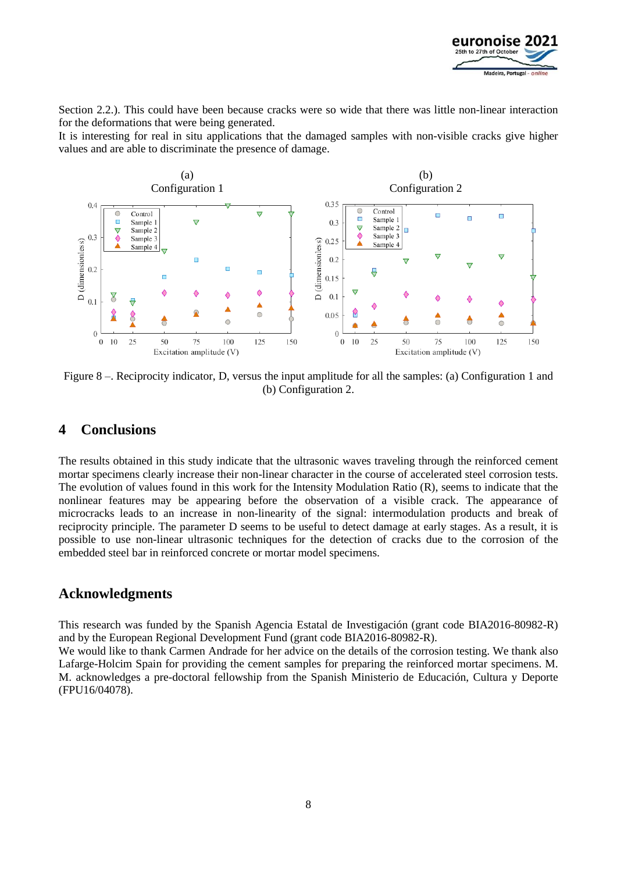

Section 2.2.). This could have been because cracks were so wide that there was little non-linear interaction for the deformations that were being generated.

It is interesting for real in situ applications that the damaged samples with non-visible cracks give higher values and are able to discriminate the presence of damage.



Figure 8 –. Reciprocity indicator, D, versus the input amplitude for all the samples: (a) Configuration 1 and (b) Configuration 2.

## **4 Conclusions**

The results obtained in this study indicate that the ultrasonic waves traveling through the reinforced cement mortar specimens clearly increase their non-linear character in the course of accelerated steel corrosion tests. The evolution of values found in this work for the Intensity Modulation Ratio (R), seems to indicate that the nonlinear features may be appearing before the observation of a visible crack. The appearance of microcracks leads to an increase in non-linearity of the signal: intermodulation products and break of reciprocity principle. The parameter D seems to be useful to detect damage at early stages. As a result, it is possible to use non-linear ultrasonic techniques for the detection of cracks due to the corrosion of the embedded steel bar in reinforced concrete or mortar model specimens.

### **Acknowledgments**

This research was funded by the Spanish Agencia Estatal de Investigación (grant code BIA2016-80982-R) and by the European Regional Development Fund (grant code BIA2016-80982-R).

We would like to thank Carmen Andrade for her advice on the details of the corrosion testing. We thank also Lafarge-Holcim Spain for providing the cement samples for preparing the reinforced mortar specimens. M. M. acknowledges a pre-doctoral fellowship from the Spanish Ministerio de Educación, Cultura y Deporte (FPU16/04078).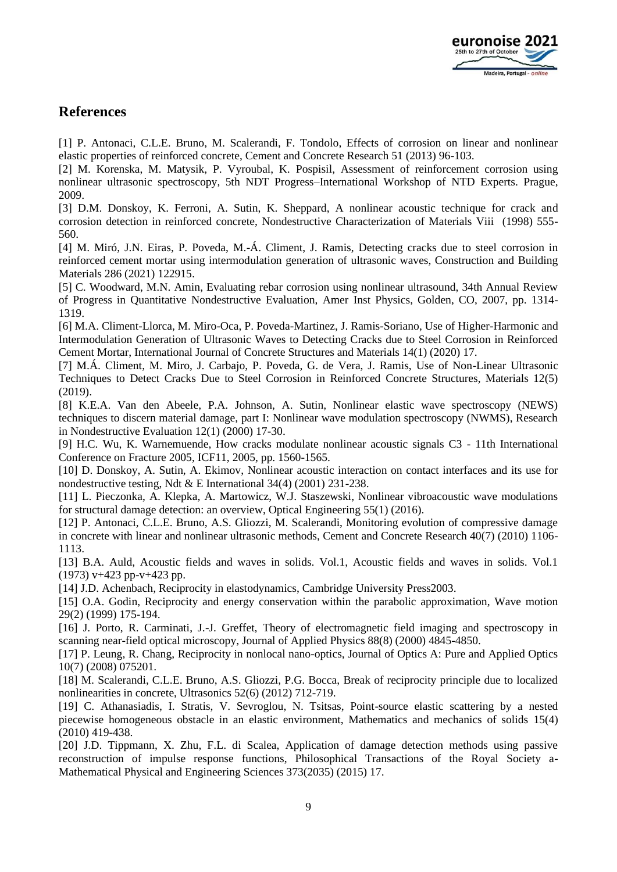

## **References**

[1] P. Antonaci, C.L.E. Bruno, M. Scalerandi, F. Tondolo, Effects of corrosion on linear and nonlinear elastic properties of reinforced concrete, Cement and Concrete Research 51 (2013) 96-103.

[2] M. Korenska, M. Matysik, P. Vyroubal, K. Pospisil, Assessment of reinforcement corrosion using nonlinear ultrasonic spectroscopy, 5th NDT Progress–International Workshop of NTD Experts. Prague, 2009.

[3] D.M. Donskoy, K. Ferroni, A. Sutin, K. Sheppard, A nonlinear acoustic technique for crack and corrosion detection in reinforced concrete, Nondestructive Characterization of Materials Viii (1998) 555- 560.

[4] M. Miró, J.N. Eiras, P. Poveda, M.-Á. Climent, J. Ramis, Detecting cracks due to steel corrosion in reinforced cement mortar using intermodulation generation of ultrasonic waves, Construction and Building Materials 286 (2021) 122915.

[5] C. Woodward, M.N. Amin, Evaluating rebar corrosion using nonlinear ultrasound, 34th Annual Review of Progress in Quantitative Nondestructive Evaluation, Amer Inst Physics, Golden, CO, 2007, pp. 1314- 1319.

[6] M.A. Climent-Llorca, M. Miro-Oca, P. Poveda-Martinez, J. Ramis-Soriano, Use of Higher-Harmonic and Intermodulation Generation of Ultrasonic Waves to Detecting Cracks due to Steel Corrosion in Reinforced Cement Mortar, International Journal of Concrete Structures and Materials 14(1) (2020) 17.

[7] M.Á. Climent, M. Miro, J. Carbajo, P. Poveda, G. de Vera, J. Ramis, Use of Non-Linear Ultrasonic Techniques to Detect Cracks Due to Steel Corrosion in Reinforced Concrete Structures, Materials 12(5) (2019).

[8] K.E.A. Van den Abeele, P.A. Johnson, A. Sutin, Nonlinear elastic wave spectroscopy (NEWS) techniques to discern material damage, part I: Nonlinear wave modulation spectroscopy (NWMS), Research in Nondestructive Evaluation 12(1) (2000) 17-30.

[9] H.C. Wu, K. Warnemuende, How cracks modulate nonlinear acoustic signals C3 - 11th International Conference on Fracture 2005, ICF11, 2005, pp. 1560-1565.

[10] D. Donskoy, A. Sutin, A. Ekimov, Nonlinear acoustic interaction on contact interfaces and its use for nondestructive testing, Ndt & E International 34(4) (2001) 231-238.

[11] L. Pieczonka, A. Klepka, A. Martowicz, W.J. Staszewski, Nonlinear vibroacoustic wave modulations for structural damage detection: an overview, Optical Engineering 55(1) (2016).

[12] P. Antonaci, C.L.E. Bruno, A.S. Gliozzi, M. Scalerandi, Monitoring evolution of compressive damage in concrete with linear and nonlinear ultrasonic methods, Cement and Concrete Research 40(7) (2010) 1106- 1113.

[13] B.A. Auld, Acoustic fields and waves in solids. Vol.1, Acoustic fields and waves in solids. Vol.1 (1973) v+423 pp-v+423 pp.

[14] J.D. Achenbach, Reciprocity in elastodynamics, Cambridge University Press2003.

[15] O.A. Godin, Reciprocity and energy conservation within the parabolic approximation, Wave motion 29(2) (1999) 175-194.

[16] J. Porto, R. Carminati, J.-J. Greffet, Theory of electromagnetic field imaging and spectroscopy in scanning near-field optical microscopy, Journal of Applied Physics 88(8) (2000) 4845-4850.

[17] P. Leung, R. Chang, Reciprocity in nonlocal nano-optics, Journal of Optics A: Pure and Applied Optics 10(7) (2008) 075201.

[18] M. Scalerandi, C.L.E. Bruno, A.S. Gliozzi, P.G. Bocca, Break of reciprocity principle due to localized nonlinearities in concrete, Ultrasonics 52(6) (2012) 712-719.

[19] C. Athanasiadis, I. Stratis, V. Sevroglou, N. Tsitsas, Point-source elastic scattering by a nested piecewise homogeneous obstacle in an elastic environment, Mathematics and mechanics of solids 15(4) (2010) 419-438.

[20] J.D. Tippmann, X. Zhu, F.L. di Scalea, Application of damage detection methods using passive reconstruction of impulse response functions, Philosophical Transactions of the Royal Society a-Mathematical Physical and Engineering Sciences 373(2035) (2015) 17.